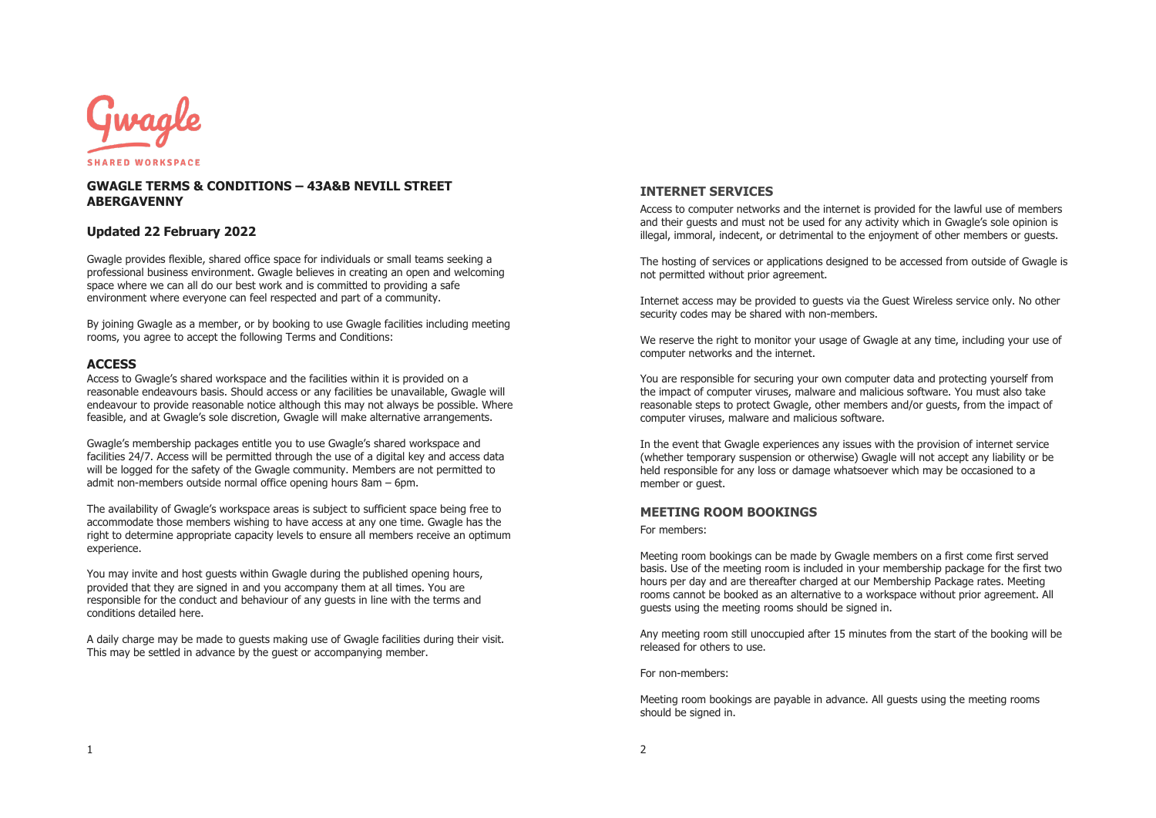

## **GWAGLE TERMS & CONDITIONS – 43A&B NEVILL STREET ABERGAVENNY**

## **Updated 22 February 2022**

Gwagle provides flexible, shared office space for individuals or small teams seeking a professional business environment. Gwagle believes in creating an open and welcoming space where we can all do our best work and is committed to providing a safe environment where everyone can feel respected and part of a community.

By joining Gwagle as a member, or by booking to use Gwagle facilities including meeting rooms, you agree to accept the following Terms and Conditions:

### **ACCESS**

Access to Gwagle's shared workspace and the facilities within it is provided on a reasonable endeavours basis. Should access or any facilities be unavailable, Gwagle will endeavour to provide reasonable notice although this may not always be possible. Where feasible, and at Gwagle's sole discretion, Gwagle will make alternative arrangements.

Gwagle's membership packages entitle you to use Gwagle's shared workspace and facilities 24/7. Access will be permitted through the use of a digital key and access data will be logged for the safety of the Gwagle community. Members are not permitted to admit non-members outside normal office opening hours 8am – 6pm.

The availability of Gwagle's workspace areas is subject to sufficient space being free to accommodate those members wishing to have access at any one time. Gwagle has the right to determine appropriate capacity levels to ensure all members receive an optimum experience.

You may invite and host guests within Gwagle during the published opening hours, provided that they are signed in and you accompany them at all times. You are responsible for the conduct and behaviour of any guests in line with the terms and conditions detailed here.

A daily charge may be made to guests making use of Gwagle facilities during their visit. This may be settled in advance by the guest or accompanying member.

# **INTERNET SERVICES**

Access to computer networks and the internet is provided for the lawful use of members and their guests and must not be used for any activity which in Gwagle's sole opinion is illegal, immoral, indecent, or detrimental to the enjoyment of other members or guests.

The hosting of services or applications designed to be accessed from outside of Gwagle is not permitted without prior agreement.

Internet access may be provided to guests via the Guest Wireless service only. No other security codes may be shared with non-members.

We reserve the right to monitor your usage of Gwagle at any time, including your use of computer networks and the internet.

You are responsible for securing your own computer data and protecting yourself from the impact of computer viruses, malware and malicious software. You must also take reasonable steps to protect Gwagle, other members and/or guests, from the impact of computer viruses, malware and malicious software.

In the event that Gwagle experiences any issues with the provision of internet service (whether temporary suspension or otherwise) Gwagle will not accept any liability or be held responsible for any loss or damage whatsoever which may be occasioned to a member or guest.

#### **MEETING ROOM BOOKINGS**

For members:

Meeting room bookings can be made by Gwagle members on a first come first served basis. Use of the meeting room is included in your membership package for the first two hours per day and are thereafter charged at our Membership Package rates. Meeting rooms cannot be booked as an alternative to a workspace without prior agreement. All guests using the meeting rooms should be signed in.

Any meeting room still unoccupied after 15 minutes from the start of the booking will be released for others to use.

For non-members:

Meeting room bookings are payable in advance. All guests using the meeting rooms should be signed in.